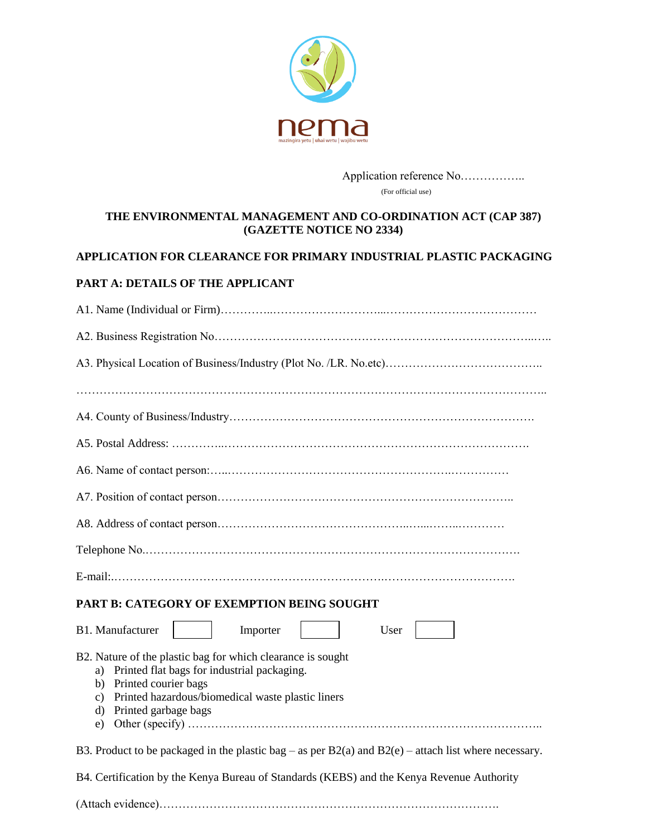

Application reference No…………….. (For official use)

## **THE ENVIRONMENTAL MANAGEMENT AND CO-ORDINATION ACT (CAP 387) (GAZETTE NOTICE NO 2334)**

## **APPLICATION FOR CLEARANCE FOR PRIMARY INDUSTRIAL PLASTIC PACKAGING**

#### **PART A: DETAILS OF THE APPLICANT**

| <b>PART B: CATEGORY OF EXEMPTION BEING SOUGHT</b>                                                                                                                                                                                 |  |  |  |
|-----------------------------------------------------------------------------------------------------------------------------------------------------------------------------------------------------------------------------------|--|--|--|
| B1. Manufacturer<br>Importer<br>User                                                                                                                                                                                              |  |  |  |
| B2. Nature of the plastic bag for which clearance is sought<br>a) Printed flat bags for industrial packaging.<br>b) Printed courier bags<br>c) Printed hazardous/biomedical waste plastic liners<br>d) Printed garbage bags<br>e) |  |  |  |
| B3. Product to be packaged in the plastic bag – as per $B2(a)$ and $B2(e)$ – attach list where necessary.                                                                                                                         |  |  |  |
| B4. Certification by the Kenya Bureau of Standards (KEBS) and the Kenya Revenue Authority                                                                                                                                         |  |  |  |

(Attach evidence)…………………………………………………………………………….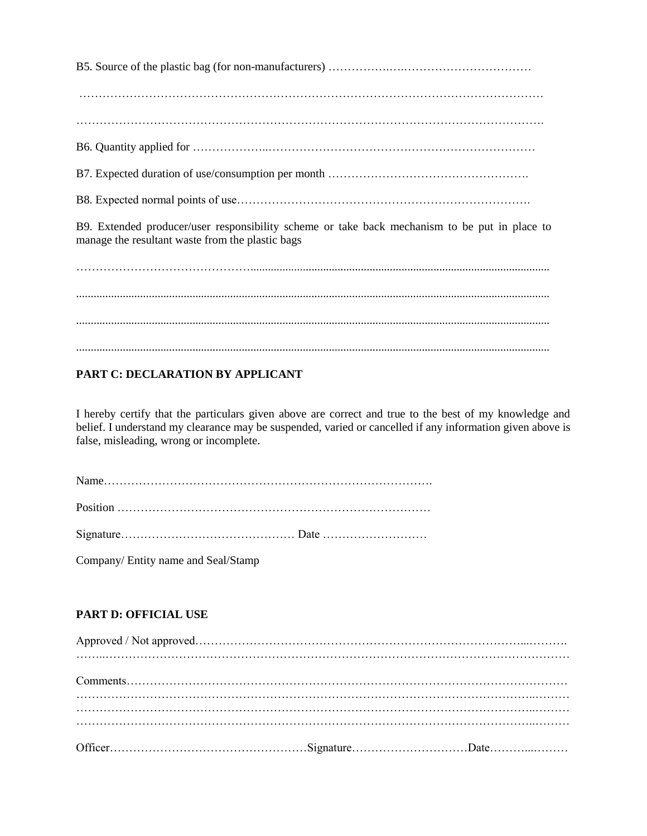B5. Source of the plastic bag (for non-manufacturers) …………….….……………………………

…………………………………………………………………………………………………………

………………………………………………………………………………………………………….

B6. Quantity applied for ………………..……………………………………………………………

B7. Expected duration of use/consumption per month …………………………………………….

B8. Expected normal points of use………………………………………………………………….

B9. Extended producer/user responsibility scheme or take back mechanism to be put in place to manage the resultant waste from the plastic bags

……………………………………….......................................................................................................

................................................................................................................................................................... ...................................................................................................................................................................

...................................................................................................................................................................

# **PART C: DECLARATION BY APPLICANT**

I hereby certify that the particulars given above are correct and true to the best of my knowledge and belief. I understand my clearance may be suspended, varied or cancelled if any information given above is false, misleading, wrong or incomplete.

Name…………………………………………………………………………. Position ………………………………………………………………………

Signature……………………………………… Date ………………………

Company/ Entity name and Seal/Stamp

## **PART D: OFFICIAL USE**

| $Comments 1 1 1 2 2 3 3 4 4 5 6 7 6 8 9 10 11 12 13 14 15 16 17 19 19 19 19 19 19$ |  |
|------------------------------------------------------------------------------------|--|
|                                                                                    |  |
|                                                                                    |  |